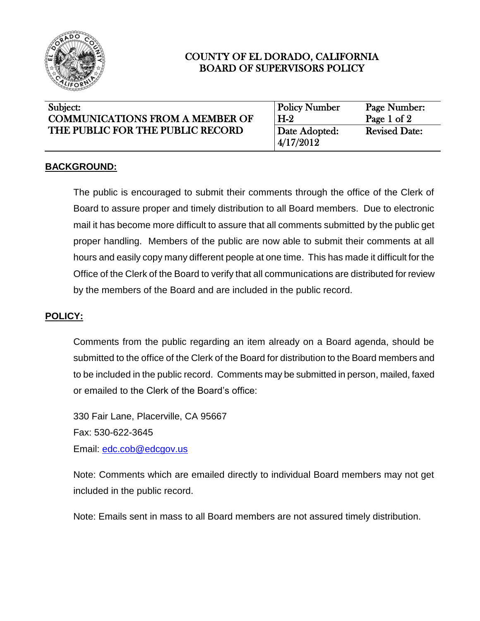

# COUNTY OF EL DORADO, CALIFORNIA BOARD OF SUPERVISORS POLICY

| Subject:<br><b>COMMUNICATIONS FROM A MEMBER OF</b><br>THE PUBLIC FOR THE PUBLIC RECORD | <b>Policy Number</b><br>$H-2$ | Page Number:<br>Page 1 of 2 |
|----------------------------------------------------------------------------------------|-------------------------------|-----------------------------|
|                                                                                        | Date Adopted:<br>4/17/2012    | <b>Revised Date:</b>        |

### **BACKGROUND:**

The public is encouraged to submit their comments through the office of the Clerk of Board to assure proper and timely distribution to all Board members. Due to electronic mail it has become more difficult to assure that all comments submitted by the public get proper handling. Members of the public are now able to submit their comments at all hours and easily copy many different people at one time. This has made it difficult for the Office of the Clerk of the Board to verify that all communications are distributed for review by the members of the Board and are included in the public record.

## **POLICY:**

Comments from the public regarding an item already on a Board agenda, should be submitted to the office of the Clerk of the Board for distribution to the Board members and to be included in the public record. Comments may be submitted in person, mailed, faxed or emailed to the Clerk of the Board's office:

330 Fair Lane, Placerville, CA 95667 Fax: 530-622-3645 Email: [edc.cob@edcgov.us](mailto:edc.cob@edcgov.us)

Note: Comments which are emailed directly to individual Board members may not get included in the public record.

Note: Emails sent in mass to all Board members are not assured timely distribution.